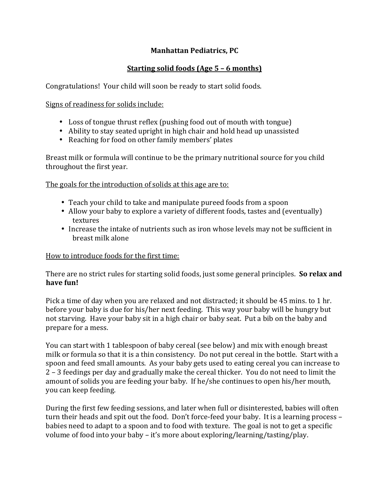## **Manhattan Pediatrics, PC**

## **Starting solid foods (Age 5 – 6 months)**

Congratulations! Your child will soon be ready to start solid foods.

Signs of readiness for solids include:

- Loss of tongue thrust reflex (pushing food out of mouth with tongue)
- Ability to stay seated upright in high chair and hold head up unassisted
- Reaching for food on other family members' plates

Breast milk or formula will continue to be the primary nutritional source for you child throughout the first year.

The goals for the introduction of solids at this age are to:

- Teach your child to take and manipulate pureed foods from a spoon
- Allow your baby to explore a variety of different foods, tastes and (eventually) textures
- Increase the intake of nutrients such as iron whose levels may not be sufficient in breast milk alone

# How to introduce foods for the first time:

There are no strict rules for starting solid foods, just some general principles. **So relax and** have fun!

Pick a time of day when you are relaxed and not distracted; it should be 45 mins. to 1 hr. before your baby is due for his/her next feeding. This way your baby will be hungry but not starving. Have your baby sit in a high chair or baby seat. Put a bib on the baby and prepare for a mess.

You can start with 1 tablespoon of baby cereal (see below) and mix with enough breast milk or formula so that it is a thin consistency. Do not put cereal in the bottle. Start with a spoon and feed small amounts. As your baby gets used to eating cereal you can increase to 2 – 3 feedings per day and gradually make the cereal thicker. You do not need to limit the amount of solids you are feeding your baby. If he/she continues to open his/her mouth, you can keep feeding.

During the first few feeding sessions, and later when full or disinterested, babies will often turn their heads and spit out the food. Don't force-feed your baby. It is a learning process – babies need to adapt to a spoon and to food with texture. The goal is not to get a specific volume of food into your baby – it's more about exploring/learning/tasting/play.